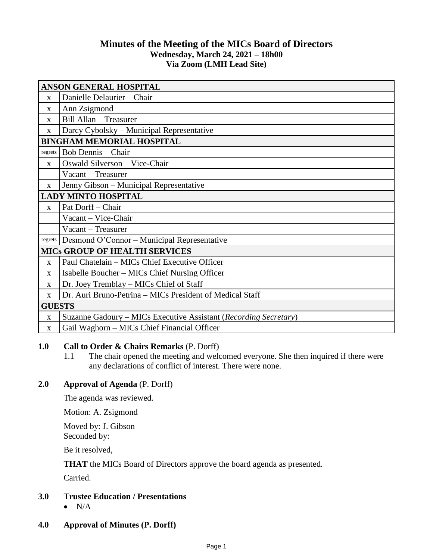# **Minutes of the Meeting of the MICs Board of Directors Wednesday, March 24, 2021 – 18h00 Via Zoom (LMH Lead Site)**

| <b>ANSON GENERAL HOSPITAL</b>        |                                                                  |
|--------------------------------------|------------------------------------------------------------------|
| $\mathbf{x}$                         | Danielle Delaurier - Chair                                       |
| $\mathbf{X}$                         | Ann Zsigmond                                                     |
| $\mathbf{X}$                         | Bill Allan - Treasurer                                           |
| X                                    | Darcy Cybolsky – Municipal Representative                        |
| <b>BINGHAM MEMORIAL HOSPITAL</b>     |                                                                  |
| regrets                              | <b>Bob Dennis - Chair</b>                                        |
| $\mathbf{X}$                         | Oswald Silverson - Vice-Chair                                    |
|                                      | Vacant - Treasurer                                               |
| $\mathbf{X}$                         | Jenny Gibson - Municipal Representative                          |
| <b>LADY MINTO HOSPITAL</b>           |                                                                  |
| $\mathbf{X}$                         | Pat Dorff - Chair                                                |
|                                      | Vacant - Vice-Chair                                              |
|                                      | Vacant – Treasurer                                               |
| regrets                              | Desmond O'Connor – Municipal Representative                      |
| <b>MICS GROUP OF HEALTH SERVICES</b> |                                                                  |
| $\mathbf{X}$                         | Paul Chatelain – MICs Chief Executive Officer                    |
| X                                    | Isabelle Boucher – MICs Chief Nursing Officer                    |
| $\mathbf{X}$                         | Dr. Joey Tremblay – MICs Chief of Staff                          |
| $\mathbf{x}$                         | Dr. Auri Bruno-Petrina - MICs President of Medical Staff         |
| <b>GUESTS</b>                        |                                                                  |
| $\mathbf X$                          | Suzanne Gadoury - MICs Executive Assistant (Recording Secretary) |
| X                                    | Gail Waghorn – MICs Chief Financial Officer                      |

### **1.0 Call to Order & Chairs Remarks** (P. Dorff)

1.1 The chair opened the meeting and welcomed everyone. She then inquired if there were any declarations of conflict of interest. There were none.

## **2.0 Approval of Agenda** (P. Dorff)

The agenda was reviewed.

Motion: A. Zsigmond

Moved by: J. Gibson Seconded by:

Be it resolved,

**THAT** the MICs Board of Directors approve the board agenda as presented.

Carried.

## **3.0 Trustee Education / Presentations**

- $\bullet$  N/A
- **4.0 Approval of Minutes (P. Dorff)**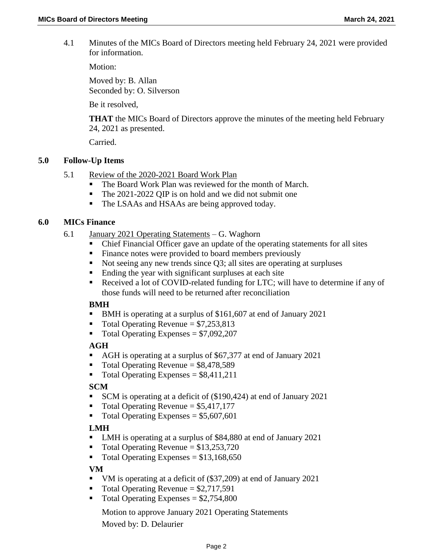4.1 Minutes of the MICs Board of Directors meeting held February 24, 2021 were provided for information.

Motion:

Moved by: B. Allan Seconded by: O. Silverson

Be it resolved,

**THAT** the MICs Board of Directors approve the minutes of the meeting held February 24, 2021 as presented.

Carried.

### **5.0 Follow-Up Items**

- 5.1 Review of the 2020-2021 Board Work Plan
	- The Board Work Plan was reviewed for the month of March.
	- The 2021-2022 QIP is on hold and we did not submit one
	- The LSAAs and HSAAs are being approved today.

### **6.0 MICs Finance**

- 6.1 January 2021 Operating Statements G. Waghorn
	- Chief Financial Officer gave an update of the operating statements for all sites
	- Finance notes were provided to board members previously
	- Not seeing any new trends since  $Q3$ ; all sites are operating at surpluses
	- Ending the year with significant surpluses at each site
	- Received a lot of COVID-related funding for LTC; will have to determine if any of those funds will need to be returned after reconciliation

### **BMH**

- BMH is operating at a surplus of \$161,607 at end of January 2021
- $\blacksquare$  Total Operating Revenue = \$7,253,813
- $\blacksquare$  Total Operating Expenses = \$7,092,207

## **AGH**

- AGH is operating at a surplus of \$67,377 at end of January 2021
- Total Operating Revenue = \$8,478,589
- $\blacksquare$  Total Operating Expenses = \$8,411,211

### **SCM**

- SCM is operating at a deficit of (\$190,424) at end of January 2021
- $\blacksquare$  Total Operating Revenue = \$5,417,177
- $\blacksquare$  Total Operating Expenses = \$5,607,601

## **LMH**

- LMH is operating at a surplus of \$84,880 at end of January 2021
- Total Operating Revenue = \$13,253,720
- $\blacksquare$  Total Operating Expenses = \$13,168,650

## **VM**

- VM is operating at a deficit of (\$37,209) at end of January 2021
- $\blacksquare$  Total Operating Revenue = \$2,717,591
- $\blacksquare$  Total Operating Expenses = \$2,754,800

Motion to approve January 2021 Operating Statements Moved by: D. Delaurier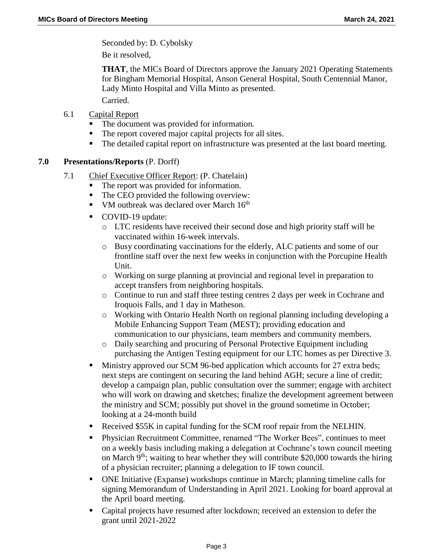Seconded by: D. Cybolsky Be it resolved,

**THAT**, the MICs Board of Directors approve the January 2021 Operating Statements for Bingham Memorial Hospital, Anson General Hospital, South Centennial Manor, Lady Minto Hospital and Villa Minto as presented. Carried.

- 6.1 Capital Report
	- The document was provided for information.
	- The report covered major capital projects for all sites.
	- The detailed capital report on infrastructure was presented at the last board meeting.

### **7.0 Presentations/Reports** (P. Dorff)

- 7.1 Chief Executive Officer Report: (P. Chatelain)
	- The report was provided for information.
	- The CEO provided the following overview:
	- VM outbreak was declared over March  $16<sup>th</sup>$
	- COVID-19 update:
		- o LTC residents have received their second dose and high priority staff will be vaccinated within 16-week intervals.
		- o Busy coordinating vaccinations for the elderly, ALC patients and some of our frontline staff over the next few weeks in conjunction with the Porcupine Health Unit.
		- o Working on surge planning at provincial and regional level in preparation to accept transfers from neighboring hospitals.
		- o Continue to run and staff three testing centres 2 days per week in Cochrane and Iroquois Falls, and 1 day in Matheson.
		- o Working with Ontario Health North on regional planning including developing a Mobile Enhancing Support Team (MEST); providing education and communication to our physicians, team members and community members.
		- o Daily searching and procuring of Personal Protective Equipment including purchasing the Antigen Testing equipment for our LTC homes as per Directive 3.
	- Ministry approved our SCM 96-bed application which accounts for 27 extra beds; next steps are contingent on securing the land behind AGH; secure a line of credit; develop a campaign plan, public consultation over the summer; engage with architect who will work on drawing and sketches; finalize the development agreement between the ministry and SCM; possibly put shovel in the ground sometime in October; looking at a 24-month build
	- Received \$55K in capital funding for the SCM roof repair from the NELHIN.
	- Physician Recruitment Committee, renamed "The Worker Bees", continues to meet on a weekly basis including making a delegation at Cochrane's town council meeting on March  $9<sup>th</sup>$ ; waiting to hear whether they will contribute \$20,000 towards the hiring of a physician recruiter; planning a delegation to IF town council.
	- ONE Initiative (Expanse) workshops continue in March; planning timeline calls for signing Memorandum of Understanding in April 2021. Looking for board approval at the April board meeting.
	- Capital projects have resumed after lockdown; received an extension to defer the grant until 2021-2022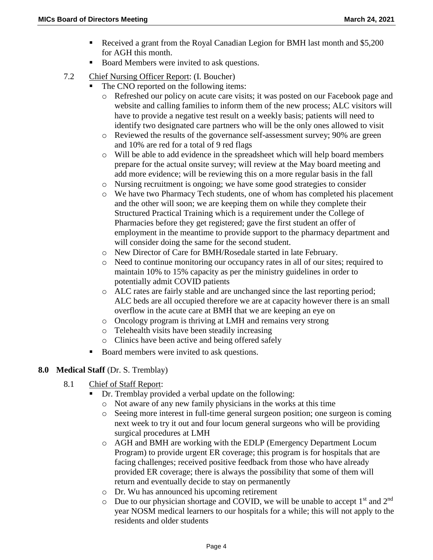- Received a grant from the Royal Canadian Legion for BMH last month and \$5,200 for AGH this month.
- Board Members were invited to ask questions.
- 7.2 Chief Nursing Officer Report: (I. Boucher)
	- The CNO reported on the following items:
		- o Refreshed our policy on acute care visits; it was posted on our Facebook page and website and calling families to inform them of the new process; ALC visitors will have to provide a negative test result on a weekly basis; patients will need to identify two designated care partners who will be the only ones allowed to visit
		- o Reviewed the results of the governance self-assessment survey; 90% are green and 10% are red for a total of 9 red flags
		- o Will be able to add evidence in the spreadsheet which will help board members prepare for the actual onsite survey; will review at the May board meeting and add more evidence; will be reviewing this on a more regular basis in the fall
		- o Nursing recruitment is ongoing; we have some good strategies to consider
		- o We have two Pharmacy Tech students, one of whom has completed his placement and the other will soon; we are keeping them on while they complete their Structured Practical Training which is a requirement under the College of Pharmacies before they get registered; gave the first student an offer of employment in the meantime to provide support to the pharmacy department and will consider doing the same for the second student.
		- o New Director of Care for BMH/Rosedale started in late February.
		- o Need to continue monitoring our occupancy rates in all of our sites; required to maintain 10% to 15% capacity as per the ministry guidelines in order to potentially admit COVID patients
		- o ALC rates are fairly stable and are unchanged since the last reporting period; ALC beds are all occupied therefore we are at capacity however there is an small overflow in the acute care at BMH that we are keeping an eye on
		- o Oncology program is thriving at LMH and remains very strong
		- o Telehealth visits have been steadily increasing
		- o Clinics have been active and being offered safely
	- Board members were invited to ask questions.

### **8.0 Medical Staff** (Dr. S. Tremblay)

- 8.1 Chief of Staff Report:
	- Dr. Tremblay provided a verbal update on the following:
		- o Not aware of any new family physicians in the works at this time
		- o Seeing more interest in full-time general surgeon position; one surgeon is coming next week to try it out and four locum general surgeons who will be providing surgical procedures at LMH
		- o AGH and BMH are working with the EDLP (Emergency Department Locum Program) to provide urgent ER coverage; this program is for hospitals that are facing challenges; received positive feedback from those who have already provided ER coverage; there is always the possibility that some of them will return and eventually decide to stay on permanently
		- o Dr. Wu has announced his upcoming retirement
		- $\circ$  Due to our physician shortage and COVID, we will be unable to accept 1<sup>st</sup> and 2<sup>nd</sup> year NOSM medical learners to our hospitals for a while; this will not apply to the residents and older students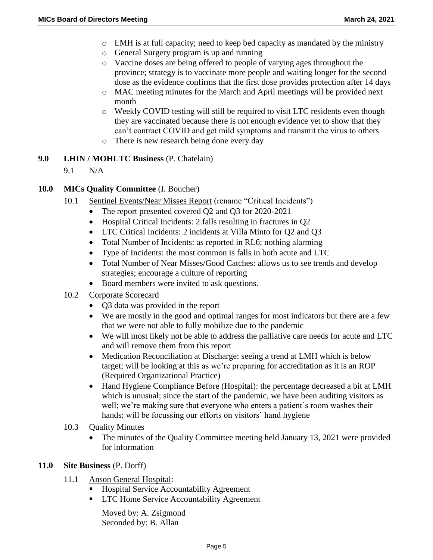- o LMH is at full capacity; need to keep bed capacity as mandated by the ministry
- o General Surgery program is up and running
- o Vaccine doses are being offered to people of varying ages throughout the province; strategy is to vaccinate more people and waiting longer for the second dose as the evidence confirms that the first dose provides protection after 14 days
- o MAC meeting minutes for the March and April meetings will be provided next month
- o Weekly COVID testing will still be required to visit LTC residents even though they are vaccinated because there is not enough evidence yet to show that they can't contract COVID and get mild symptoms and transmit the virus to others
- o There is new research being done every day
- **9.0 LHIN / MOHLTC Business** (P. Chatelain)
	- 9.1 N/A

### **10.0 MICs Quality Committee** (I. Boucher)

- 10.1 Sentinel Events/Near Misses Report (rename "Critical Incidents")
	- The report presented covered Q2 and Q3 for 2020-2021
	- Hospital Critical Incidents: 2 falls resulting in fractures in Q2
	- LTC Critical Incidents: 2 incidents at Villa Minto for Q2 and Q3
	- Total Number of Incidents: as reported in RL6; nothing alarming
	- Type of Incidents: the most common is falls in both acute and LTC
	- Total Number of Near Misses/Good Catches: allows us to see trends and develop strategies; encourage a culture of reporting
	- Board members were invited to ask questions.
- 10.2 Corporate Scorecard
	- Q3 data was provided in the report
	- We are mostly in the good and optimal ranges for most indicators but there are a few that we were not able to fully mobilize due to the pandemic
	- We will most likely not be able to address the palliative care needs for acute and LTC and will remove them from this report
	- Medication Reconciliation at Discharge: seeing a trend at LMH which is below target; will be looking at this as we're preparing for accreditation as it is an ROP (Required Organizational Practice)
	- Hand Hygiene Compliance Before (Hospital): the percentage decreased a bit at LMH which is unusual; since the start of the pandemic, we have been auditing visitors as well; we're making sure that everyone who enters a patient's room washes their hands; will be focussing our efforts on visitors' hand hygiene
- 10.3 Quality Minutes
	- The minutes of the Quality Committee meeting held January 13, 2021 were provided for information

### **11.0 Site Business** (P. Dorff)

- 11.1 Anson General Hospital:
	- **Hospital Service Accountability Agreement**
	- LTC Home Service Accountability Agreement

Moved by: A. Zsigmond Seconded by: B. Allan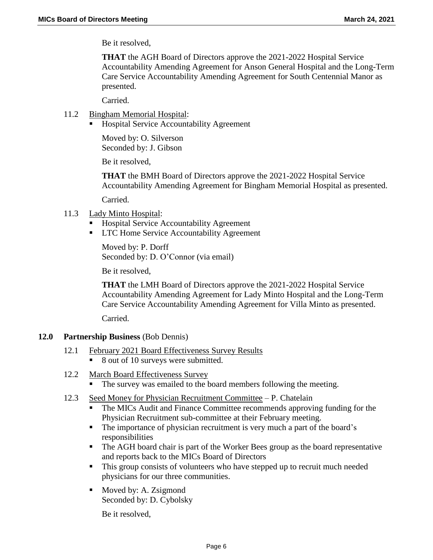Be it resolved,

**THAT** the AGH Board of Directors approve the 2021-2022 Hospital Service Accountability Amending Agreement for Anson General Hospital and the Long-Term Care Service Accountability Amending Agreement for South Centennial Manor as presented.

Carried.

### 11.2 Bingham Memorial Hospital:

Hospital Service Accountability Agreement

Moved by: O. Silverson Seconded by: J. Gibson

Be it resolved,

**THAT** the BMH Board of Directors approve the 2021-2022 Hospital Service Accountability Amending Agreement for Bingham Memorial Hospital as presented.

Carried.

- 11.3 Lady Minto Hospital:
	- Hospital Service Accountability Agreement
	- **ILTC Home Service Accountability Agreement**

Moved by: P. Dorff Seconded by: D. O'Connor (via email)

Be it resolved,

**THAT** the LMH Board of Directors approve the 2021-2022 Hospital Service Accountability Amending Agreement for Lady Minto Hospital and the Long-Term Care Service Accountability Amending Agreement for Villa Minto as presented.

Carried.

### **12.0 Partnership Business** (Bob Dennis)

- 12.1 February 2021 Board Effectiveness Survey Results
	- 8 out of 10 surveys were submitted.
- 12.2 March Board Effectiveness Survey
	- The survey was emailed to the board members following the meeting.
- 12.3 Seed Money for Physician Recruitment Committee P. Chatelain
	- The MICs Audit and Finance Committee recommends approving funding for the Physician Recruitment sub-committee at their February meeting.
	- The importance of physician recruitment is very much a part of the board's responsibilities
	- The AGH board chair is part of the Worker Bees group as the board representative and reports back to the MICs Board of Directors
	- This group consists of volunteers who have stepped up to recruit much needed physicians for our three communities.
	- Moved by: A. Zsigmond Seconded by: D. Cybolsky

Be it resolved,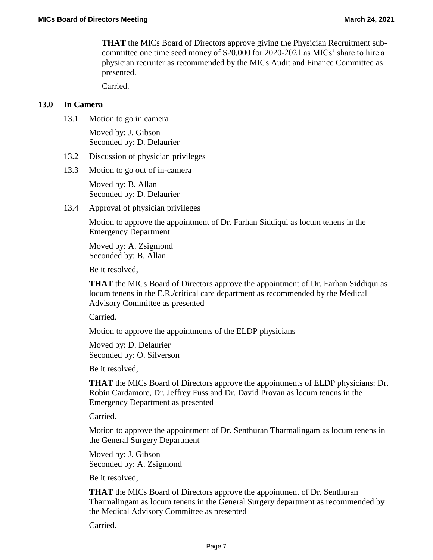**THAT** the MICs Board of Directors approve giving the Physician Recruitment subcommittee one time seed money of \$20,000 for 2020-2021 as MICs' share to hire a physician recruiter as recommended by the MICs Audit and Finance Committee as presented.

Carried.

#### **13.0 In Camera**

13.1 Motion to go in camera

Moved by: J. Gibson Seconded by: D. Delaurier

- 13.2 Discussion of physician privileges
- 13.3 Motion to go out of in-camera

Moved by: B. Allan Seconded by: D. Delaurier

13.4 Approval of physician privileges

Motion to approve the appointment of Dr. Farhan Siddiqui as locum tenens in the Emergency Department

Moved by: A. Zsigmond Seconded by: B. Allan

Be it resolved,

**THAT** the MICs Board of Directors approve the appointment of Dr. Farhan Siddiqui as locum tenens in the E.R./critical care department as recommended by the Medical Advisory Committee as presented

Carried.

Motion to approve the appointments of the ELDP physicians

Moved by: D. Delaurier Seconded by: O. Silverson

Be it resolved,

**THAT** the MICs Board of Directors approve the appointments of ELDP physicians: Dr. Robin Cardamore, Dr. Jeffrey Fuss and Dr. David Provan as locum tenens in the Emergency Department as presented

Carried.

Motion to approve the appointment of Dr. Senthuran Tharmalingam as locum tenens in the General Surgery Department

Moved by: J. Gibson Seconded by: A. Zsigmond

Be it resolved,

**THAT** the MICs Board of Directors approve the appointment of Dr. Senthuran Tharmalingam as locum tenens in the General Surgery department as recommended by the Medical Advisory Committee as presented

Carried.